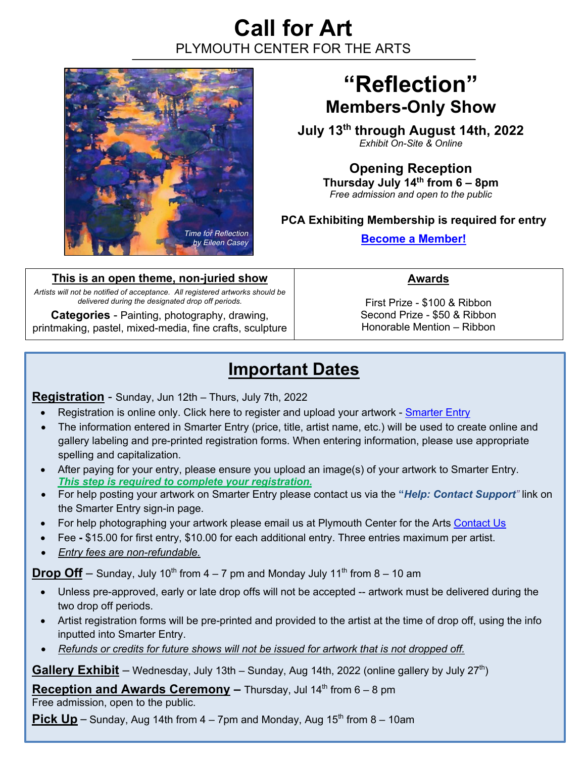## **Call for Art**  PLYMOUTH CENTER FOR THE ARTS



# **"Reflection" Members-Only Show**

**July 13th through August 14th, 2022** *Exhibit On-Site & Online*

> **Opening Reception Thursday July 14th from 6 – 8pm** *Free admission and open to the public*

#### **PCA Exhibiting Membership is required for entry**

**Become a Member!**

**This is an open theme, non-juried show**

*Artists will not be notified of acceptance. All registered artworks should be delivered during the designated drop off periods.* 

**Categories** - Painting, photography, drawing, printmaking, pastel, mixed-media, fine crafts, sculpture **Awards**

First Prize - \$100 & Ribbon Second Prize - \$50 & Ribbon Honorable Mention – Ribbon

### **Important Dates**

**Registration** - Sunday, Jun 12th – Thurs, July 7th, 2022

- Registration is online only. Click here to register and upload your artwork Smarter Entry
- The information entered in Smarter Entry (price, title, artist name, etc.) will be used to create online and gallery labeling and pre-printed registration forms. When entering information, please use appropriate spelling and capitalization.
- After paying for your entry, please ensure you upload an image(s) of your artwork to Smarter Entry. *This step is required to complete your registration.*
- For help posting your artwork on Smarter Entry please contact us via the **"***Help: Contact Support"* link on the Smarter Entry sign-in page.
- For help photographing your artwork please email us at Plymouth Center for the Arts Contact Us
- Fee **-** \$15.00 for first entry, \$10.00 for each additional entry. Three entries maximum per artist.
- *Entry fees are non-refundable.*

**Drop Off** – Sunday, July 10<sup>th</sup> from  $4 - 7$  pm and Monday July 11<sup>th</sup> from  $8 - 10$  am

- Unless pre-approved, early or late drop offs will not be accepted -- artwork must be delivered during the two drop off periods.
- Artist registration forms will be pre-printed and provided to the artist at the time of drop off, using the info inputted into Smarter Entry.
- *Refunds or credits for future shows will not be issued for artwork that is not dropped off.*

**Gallery Exhibit** – Wednesday, July 13th – Sunday, Aug 14th, 2022 (online gallery by July 27<sup>th</sup>)

**Reception and Awards Ceremony –** Thursday, Jul 14<sup>th</sup> from 6 – 8 pm

Free admission, open to the public.

**Pick**  $Up$  – Sunday, Aug 14th from  $4 - 7$ pm and Monday, Aug 15<sup>th</sup> from  $8 - 10$ am